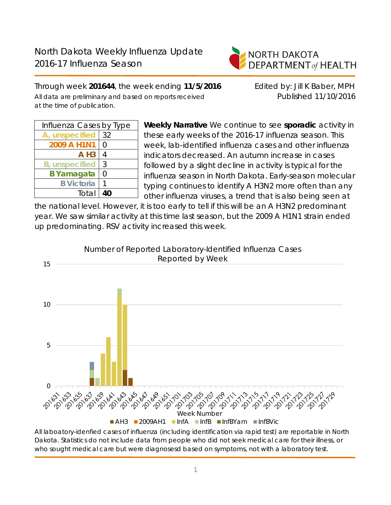

Through week **201644**, the week ending **11/5/2016** Edited by: Jill K Baber, MPH All data are preliminary and based on reports received Published 11/10/2016 at the time of publication.

| Influenza Cases by Type |    |  |  |  |
|-------------------------|----|--|--|--|
| A, unspecified          | 32 |  |  |  |
| 2009 A H1N1             | O  |  |  |  |
| $A$ H <sub>3</sub>      | 4  |  |  |  |
| <b>B</b> , unspecified  | 3  |  |  |  |
| <b>B</b> Yamagata       | 0  |  |  |  |
| <b>B</b> Victoria       |    |  |  |  |
| Total                   | 40 |  |  |  |
|                         |    |  |  |  |

**Weekly Narrative** We continue to see **sporadic** activity in these early weeks of the 2016-17 influenza season. This week, lab-identified influenza cases and other influenza indicators decreased. An autumn increase in cases followed by a slight decline in activity is typical for the influenza season in North Dakota. Early-season molecular typing continues to identify A H3N2 more often than any other influenza viruses, a trend that is also being seen at

the national level. However, it is too early to tell if this will be an A H3N2 predominant year. We saw similar activity at this time last season, but the 2009 A H1N1 strain ended up predominating. RSV activity increased this week.



Number of Reported Laboratory-Identified Influenza Cases

All laboatory-idenfied cases of influenza (including identification via rapid test) are reportable in North Dakota. Statistics do not include data from people who did not seek medical care for their illness, or who sought medical care but were diagnosesd based on symptoms, not with a laboratory test.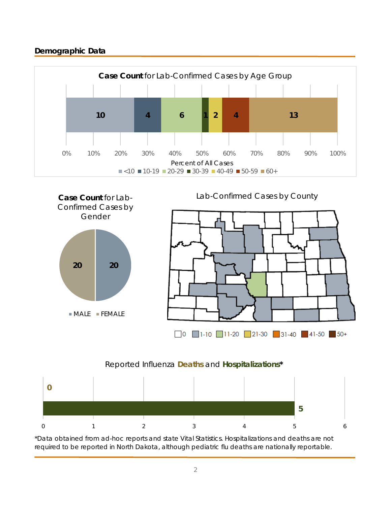# **Demographic Data**





#### Reported Influenza **Deaths** and **Hospitalizations\***



\*Data obtained from ad-hoc reports and state Vital Statistics. Hospitalizations and deaths are not required to be reported in North Dakota, although pediatric flu deaths are nationally reportable.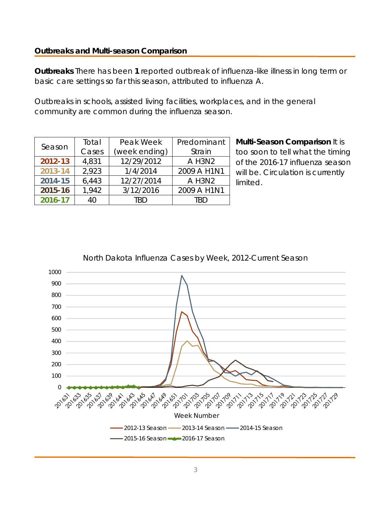### **Outbreaks and Multi-season Comparison**

**Outbreaks** There has been **1** reported outbreak of influenza-like illness in long term or basic care settings so far this season, attributed to influenza A.

Outbreaks in schools, assisted living facilities, workplaces, and in the general community are common during the influenza season.

| Season  | Total                  | Peak Week  | Predominant |  |
|---------|------------------------|------------|-------------|--|
|         | Cases<br>(week ending) |            | Strain      |  |
| 2012-13 | 12/29/2012<br>4,831    |            | A H3N2      |  |
| 2013-14 | 2,923                  | 1/4/2014   | 2009 A H1N1 |  |
| 2014-15 | 6,443                  | 12/27/2014 | A H3N2      |  |
| 2015-16 | 1,942                  | 3/12/2016  | 2009 A H1N1 |  |
| 2016-17 | 40                     | TRD        | TRD         |  |

**Multi-Season Comparison** It is too soon to tell what the timing of the 2016-17 influenza season will be. Circulation is currently limited.



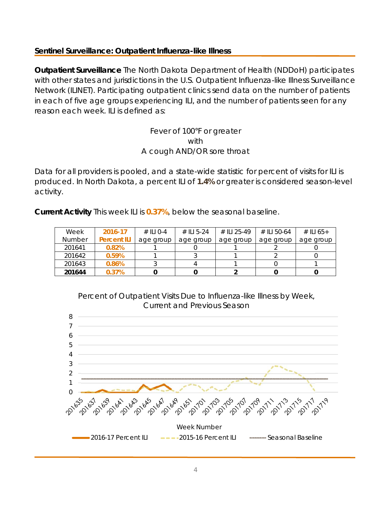### **Sentinel Surveillance: Outpatient Influenza-like Illness**

**Outpatient Surveillance** The North Dakota Department of Health (NDDoH) participates with other states and jurisdictions in the U.S. Outpatient Influenza-like Illness Surveillance Network (ILINET). Participating outpatient clinics send data on the number of patients in each of five age groups experiencing ILI, and the number of patients seen for any reason each week. ILI is defined as:

### Fever of 100°F or greater with A cough AND/OR sore throat

Data for all providers is pooled, and a state-wide statistic for percent of visits for ILI is produced. In North Dakota, a percent ILI of **1.4%** or greater is considered season-level activity.

**Current Activity** This week ILI is **0.37%**, below the seasonal baseline.

| Week   | 2016-17            | $\#$ ILI 0-4 | # ILI 5-24 | # II 1 25-49 | # II 50-64 | # ILI 65+ |
|--------|--------------------|--------------|------------|--------------|------------|-----------|
| Number | <b>Percent ILI</b> | age group    | age group  | age group    | age group  | age group |
| 201641 | 0.82%              |              |            |              |            |           |
| 201642 | 0.59%              |              |            |              |            |           |
| 201643 | 0.86%              |              |            |              |            |           |
| 201644 | 0.37%              |              |            |              |            |           |

Percent of Outpatient Visits Due to Influenza-like Illness by Week, Current and Previous Season

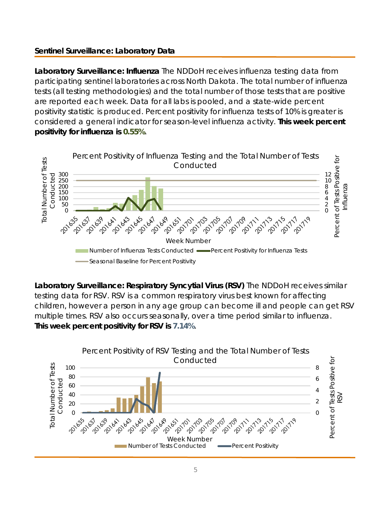## **Sentinel Surveillance: Laboratory Data**

**Laboratory Surveillance: Influenza** The NDDoH receives influenza testing data from participating sentinel laboratories across North Dakota. The total number of influenza tests (all testing methodologies) and the total number of those tests that are positive are reported each week. Data for all labs is pooled, and a state-wide percent positivity statistic is produced. Percent positivity for influenza tests of 10% is greater is considered a general indicator for season-level influenza activity. **This week percent positivity for influenza is 0.55%**.



**Laboratory Surveillance: Respiratory Syncytial Virus (RSV)** The NDDoH receives similar testing data for RSV. RSV is a common respiratory virus best known for affecting children, however a person in any age group can become ill and people can get RSV multiple times. RSV also occurs seasonally, over a time period similar to influenza. **This week percent positivity for RSV is 7.14%**.

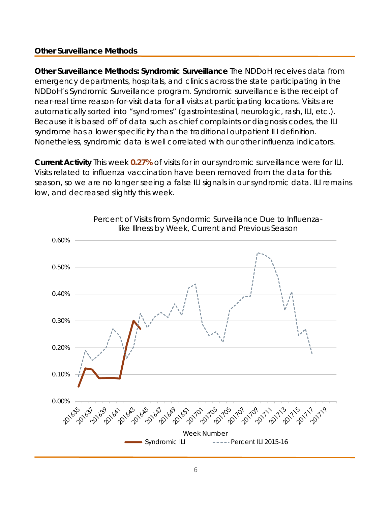### **Other Surveillance Methods**

**Other Surveillance Methods: Syndromic Surveillance** The NDDoH receives data from emergency departments, hospitals, and clinics across the state participating in the NDDoH's Syndromic Surveillance program. Syndromic surveillance is the receipt of near-real time reason-for-visit data for all visits at participating locations. Visits are automatically sorted into "syndromes" (gastrointestinal, neurologic, rash, ILI, etc.). Because it is based off of data such as chief complaints or diagnosis codes, the ILI syndrome has a lower specificity than the traditional outpatient ILI definition. Nonetheless, syndromic data is well correlated with our other influenza indicators.

**Current Activity** This week **0.27%** of visits for in our syndromic surveillance were for ILI. Visits related to influenza vaccination have been removed from the data for this season, so we are no longer seeing a false ILI signals in our syndromic data. ILI remains low, and decreased slightly this week.

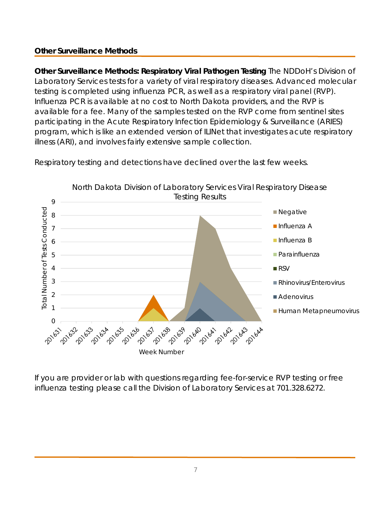# **Other Surveillance Methods**

**Other Surveillance Methods: Respiratory Viral Pathogen Testing** The NDDoH's Division of Laboratory Services tests for a variety of viral respiratory diseases. Advanced molecular testing is completed using influenza PCR, as well as a respiratory viral panel (RVP). Influenza PCR is available at no cost to North Dakota providers, and the RVP is available for a fee. Many of the samples tested on the RVP come from sentinel sites participating in the Acute Respiratory Infection Epidemiology & Surveillance (ARIES) program, which is like an extended version of ILINet that investigates acute respiratory illness (ARI), and involves fairly extensive sample collection.



Respiratory testing and detections have declined over the last few weeks.

If you are provider or lab with questions regarding fee-for-service RVP testing or free influenza testing please call the Division of Laboratory Services at 701.328.6272.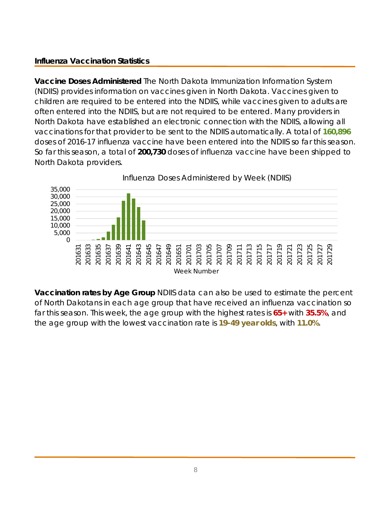# **Influenza Vaccination Statistics**

**Vaccine Doses Administered** The North Dakota Immunization Information System (NDIIS) provides information on vaccines given in North Dakota. Vaccines given to children are required to be entered into the NDIIS, while vaccines given to adults are often entered into the NDIIS, but are not required to be entered. Many providers in North Dakota have established an electronic connection with the NDIIS, allowing all vaccinations for that provider to be sent to the NDIIS automatically. A total of **160,896** doses of 2016-17 influenza vaccine have been entered into the NDIIS so far this season. So far this season, a total of **200,730** doses of influenza vaccine have been shipped to North Dakota providers.



**Vaccination rates by Age Group** NDIIS data can also be used to estimate the percent of North Dakotans in each age group that have received an influenza vaccination so far this season. This week, the age group with the highest rates is **65+** with **35.5%**, and the age group with the lowest vaccination rate is **19-49 year olds**, with **11.0%**.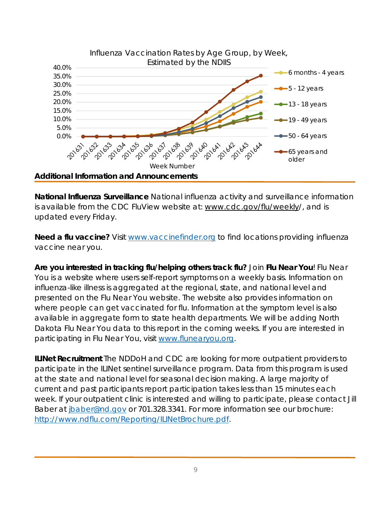

**National Influenza Surveillance** National influenza activity and surveillance information is available from the CDC FluView website at: www.cdc.gov/flu/weekly/, and is updated every Friday.

**Need a flu vaccine?** Visit www.vaccinefinder.org to find locations providing influenza vaccine near you.

**Are you interested in tracking flu/helping others track flu?** Join **Flu Near You**! Flu Near You is a website where users self-report symptoms on a weekly basis. Information on influenza-like illness is aggregated at the regional, state, and national level and presented on the Flu Near You website. The website also provides information on where people can get vaccinated for flu. Information at the symptom level is also available in aggregate form to state health departments. We will be adding North Dakota Flu Near You data to this report in the coming weeks. If you are interested in participating in Flu Near You, visit www.flunearyou.org.

**ILINet Recruitment** The NDDoH and CDC are looking for more outpatient providers to participate in the ILINet sentinel surveillance program. Data from this program is used at the state and national level for seasonal decision making. A large majority of current and past participants report participation takes less than 15 minutes each week. If your outpatient clinic is interested and willing to participate, please contact Jill Baber at jbaber@nd.gov or 701.328.3341. For more information see our brochure: http://www.ndflu.com/Reporting/ILINetBrochure.pdf.